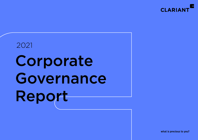

# 2021 Corporate Governance Report

what is precious to you?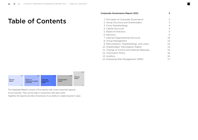# Table of Contents

# [Corporate Governance Report 2021](#page-2-0) 3

| 1. Principles of Corporate Governance      | 3  |
|--------------------------------------------|----|
| 2. Group Structure and Shareholders        | 3  |
| 3. Cross-Shareholdings                     | 4  |
| 4. Capital Structure                       | 4  |
| 5. Board of Directors                      | 5  |
| 6. Elections                               | 9  |
| 7. Internal Organizational Structure       | 10 |
| 8. Group Management                        | 13 |
| 9. Remuneration, Shareholdings, and Loans  | 14 |
| 10. Shareholders' Participation Rights     | 15 |
| 11. Change of Control and Defense Measures | 15 |
| 12. Information Policy                     | 16 |
| 13. Auditors                               | 16 |
| 14. Enterprise Risk Management (ERM)       |    |
|                                            |    |



The Integrated Report consists of five reports that covers important aspects of our business. They can be read in conjunction with each other. Together, the reports provide a full picture of our ability to create long-term value.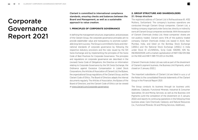# <span id="page-2-0"></span>Corporate Governance Report 2021

Clariant is committed to international compliance standards, ensuring checks and balances between the Board and Management, as well as a sustainable approach to value creation.

#### **1. PRINCIPLES OF CORPORATE GOVERNANCE**

In defining the management structure, organization, and processes of the Clariant Group, the corporate governance principles aim to provide stakeholder value and transparency to promote sustainable long-term success. The Group is committed to Swiss and international standards of corporate governance by following the respective statutory provisions and the rules issued by the SIX Swiss Exchange and by implementing the principles of the Swiss Code of Best Practices for Corporate Governance. The principles and regulations on corporate governance are described in the (revised) Swiss Code of Obligations, the Directive on Information relating to Corporate Governance by the SIX Swiss Exchange, the Ordinance against Excessive Compensation in Listed Stock Corporations, the Articles of Association of Clariant Ltd, the Bylaws, the organizational Group regulations of the Clariant Group, and the Clariant Code of Ethics. The Board of Directors adapts the internal documents regularly. The Articles of Association, the Bylaws of the Board of Directors, and the Clariant Code of Ethics can be viewed at www.clariant.com/corporate-governance.

# **2. GROUP STRUCTURE AND SHAREHOLDERS** 2.1. Group structure

The registered address of Clariant Ltd is Rothausstrasse 61, 4132 Muttenz, Switzerland. The company's business operations are conducted through Clariant Group companies. Clariant Ltd, a holding company organized under Swiss law, directly or indirectly owns all Clariant Group companies worldwide. With the exception of Clariant Chemicals (India) Ltd, these companies' shares are not publicly traded. Clariant owns 51 % of the publicly traded company Clariant Chemicals (India) Ltd, based in Airoli, Navi Mumbai, India, and listed on the Bombay Stock Exchange (»BSE«) and the National Stock Exchange (»NSE«) in India under Stock ID »CLNINDIA«, Scrip Code: 506390, ISIN No. INE492A01029, with a market capitalization of INR 11 362 015 066 on the NSE and INR 11 389 713 223 on the BSE.

[Clariant Chemicals (India) Ltd was sold as part of the divestment of Clariant's pigment business, the Business Unit Pigments, which closed on 3 January 2022.]

The important subsidiaries of Clariant Ltd are listed i[n NOTE 37 o](https://reports.clariant.com/short/2021/en/Readmore69en)f the Notes to the consolidated financial statements of the Clariant Group in the Financial Report 2021.

The Group conducts its business through six business units: Additives; Catalysts; Functional Minerals; Industrial & Consumer Specialties; Oil and Mining Services; as well as the Business Unit Pigments (until the completion of the divestment on 3 January 2022) and reports its continuing operations in the following three business areas: Care Chemicals; Catalysis; and Natural Resources (i.e., Functional Minerals, Oil and Mining Services, Additives).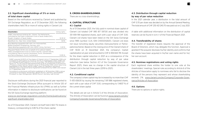# <span id="page-3-0"></span>2.2. Significant shareholdings of 3 % or more of total share capital

Based on the notifications received by Clariant and published by SIX Exchange Regulation, as of 31 December 2021, the following shareholders held 3 % or more of voting rights in Clariant Ltd:

| <b>Shareholders</b>                                                                                                                                                                                                                        | Voting rights |
|--------------------------------------------------------------------------------------------------------------------------------------------------------------------------------------------------------------------------------------------|---------------|
| SABIC International Holdings B.V., Sittard, The Netherlands,<br>controlled by the Public Investment Fund of Saudi Arabia (PIF),<br>Rivadh, Kingdom of Saudi Arabia                                                                         | 32.35 % 1     |
| BlackRock Inc., New York, United States                                                                                                                                                                                                    | 3.8 %         |
| Blue Beteiligungsgesellschaft mbH, Am Holzmaierfeld,<br>82064 Strasslach-Dingharting, Germany, and<br>Maple Beteiligungsgesellschaft mbH, 82057 Icking, Germany <sup>2</sup>                                                               | 3.49 %        |
| PSquared Master SICAV Ltd, on behalf of its subfund Valetta,<br>Malta Leveraged Event Fund LP, Grand Cayman, Cayman Islands,<br>controlled by Patrick Schmitz-Morkramer, Zurich, Switzerland,<br>and Patrick Bierbaum, Zurich, Switzerland | 3035%         |

1 sAbIC acquired 24.99 % of the shares of Clariant Ltd on 17 september 2018, and increased its participation by 6.51 % to 31.5 % on 9 september 2020. sAbIC has not changed its participation of 31.5 % since then. The difference between this figure (i.e., 31.5 %) and the abovementioned 32.35 % corresponds to the amount of treasury shares held by Clariant Ltd as of 31 December 2021, which have to be aggregated to the shares held by SABIC solely for regulatory disclosure purposes due to the Governance Agreement entered into by sAbIC and Clariant on 17 september 2018.

 $2$  According to a disclosure notification published on 18 December 2018, a group consisting of Konstantin Winterstein, 80333 Munich, Germany, and Elisabeth Prinzessin zu sayn-Wittgenstein, 80333 Munich, Germany, was formed.

Disclosure notifications during the 2021 financial year reported to the Stock Exchange Disclosure Office pursuant to Article 120 of the Financial Markets Infrastructure Act (FMIA) as well as further information in relation to disclosure notifications can be found on the SIX Swiss Exchange reporting platform:

[www.six-exchange-regulation.com/en/home/publications/](http://www.six-exchange-regulation.com/en/home/publications/significant-shareholders.html) significant-shareholders.html

As of 31 December 2021, Clariant Ltd itself held 2 822 712 shares in treasury, corresponding to 0.85 % of the share capital.

#### **3. CROSS-SHAREHOLDINGS**

There are no cross-shareholdings.

# **4. CAPITAL STRUCTURE** 4.1. Capital

As of 31 December 2021, the fully paid-in nominal share capital of Clariant Ltd totaled CHF 995 817 597.00 and was divided into 331 939 199 registered shares, each with a par value of CHF 3.00. Clariant Ltd shares have been listed on the SIX Swiss Exchange since 1995 (symbol: CLN, ISIN CH0012142631). Clariant Ltd does not issue nonvoting equity securities (Genussscheine or Partizipationsscheine). Based on the closing price of the Clariant share of CHF 19.00 on 31 December 2021, the company's market capitalization at year-end amounted to CHF 6 306 844 781. Except for the share capital reduction in 2021 as a consequence of the distribution through capital reduction by way of par value reduction (see below Section 4.3 of the Corporate Governance Report 2021), there was no change in the capital structure of Clariant Ltd in the last three years (2019 to 2021).

#### 4.2. Conditional capital

The company's share capital may be increased by no more than CHF 11 435 658.00 by issuing the remaining 3 811 886 registered shares, each with a par value of CHF 3.00, corresponding to 1.14837 % of the current share capital.

The details are set out in Article 5 of the Articles of Association. [The Articles of Association can be found at www.clariant.com/en/](https://www.clariant.com/en/Company/Corporate-Governance/Articles-of-Association) Company/Corporate-Governance/Articles-of-Association.

# 4.3. Distribution through capital reduction by way of par value reduction

In the 2021 calendar year, a distribution in the total amount of CHF 0.70 per share was decided on by the Annual General Meeting. The total amount of CHF 230 421 240.70 was paid out on 2 July 2021.

A table with additional information on the distribution of capital reserves can be found in [NOTE 17 o](https://reports.clariant.com/short/2021/en/Readmore70en)f the Financial Report 2021.

#### 4.4. Transferability of shares

The transfer of registered shares requires the approval of the Board of Directors, which may delegate this function. Approval is granted if the acquirer discloses his/her identity and confirms that the shares have been acquired in his/her own name and for his/ her own account.

#### 4.5. Nominee registrations and voting rights

Each registered share entitles the holder to one vote at the shareholders' meetings. Special rules according to Article 6 of the Articles of Association apply to nominees who fail to disclose the identity of the persons they represent and whose shareholding [exceeds 2 %. www.clariant.com/en/Company/Corporate-Gover](https://www.clariant.com/en/Company/Corporate-Governance/Articles-of-Association)nance/Articles-of-Association

#### 4.6. Options

There are no options or option rights.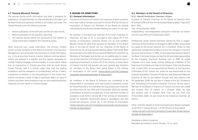#### <span id="page-4-0"></span>4.7. General Blackout Periods

The periods during which information and data is prepared for publication (»Closed Periods« or »General Blackout Periods«) will be determined and expressly notified to all insiders each year. The Closed Periods cover the following periods:

- Before publication of the half-year and the full-year results;
- Before publication of the quarterly reporting:
- The periods shortly before the disclosure to the markets of inside information related to the Clariant business.

Upon receiving such inside information, the primary insiders (which include members of the Board of Directors, the Executive Management, and employees having access to inside information, e.g., in the accounting, finance, investor relations, and law departments) are entered in a register, and the register generates an »Insider Trading message« to these insiders. It is particularly stated that no transactions in Clariant securities shall be made during Closed Periods, and it is further made clear that the trading prohibition and the obligation of confidentiality will be in effect, irrespective of whether or not the publication of the inside information concerned is likely to have a significant effect on value of Clariant securities. Noncompliance may not only entail disciplinary measures, but also result in criminal charges.

#### **5. BOARD OF DIRECTORS** 5.1. General information

The Board of Directors of Clariant Ltd comprises at least six and no more than twelve members pursuant to Article 19 of the Articles of Association of Clariant Ltd. Members of the Board are elected individually by the Annual General Meeting for a term of one year.

No member of the Board has reached, at the time of election or reelection, the age of 70, in accordance with Article 20 of the Articles of Association. However, Günter von Au and Geoffery Merszei turned 70 after their election as Members of the Board (and, in the case of Günter von Au, Chairman of the Board of Directors) by the Annual General Meeting dated 7 April 2021. Both are proposed to the 2022 Annual General Meeting for reelection as Members of the Board, and Günter von Au additionally for reelection as the Chairman of the Board of Directors, conditional upon a proposed amendment to Article 20 of the Articles of Association of Clariant Ltd that will prevent any such general age limitation for members of the Board from being stated in the Articles of [Association in the future \(www.clariant.com/en/Company/](http://www.clariant.com/en/Company/Corporate-Governance/Articles-of-Association) Corporate-Governance/Articles-of-Association).

All members of the Board of Directors are considered to be independent in accordance with best-practice standards, except for Hariolf Kottmann, who had been serving as Executive Chairman ad interim from 24 July 2019 until 31 December 2020. No member of the Board of Directors exceeds any of the maximum number of mandates as set forth in Article 38 of the Articles of Association except for Abdullah Mohammed Alissa in accordance with the transitional provision, Article 44, in the Articles of Association [\(www.clariant.com/en/Company/Corporate-Governance/](http://www.clariant.com/en/Company/Corporate-Governance/Articles-of-Association) Articles-of-Association).

## 5.2. Members of the Board of Directors 5.2.1. Hariolf Kottmann, German citizen

Function at Clariant: Chairman of the Board of Directors from 16 October 2018 until the Annual General Meeting dated 7 April 2021 Born: 1955

#### Year of first election: 2008

Independency: Nonindependent (Executive Chairman ad interim from 24 July 2019 until 31 December 2020)

Professional career: Hariolf Kottmann earned his PhD in organic chemistry at the University of Stuttgart in 1984. In 1985, he launched his career at the former Hoechst AG in Frankfurt, where he held several key management positions across the company's chemical divisions and functions. In 1996, he was appointed Deputy Head of the Basic Chemicals Division at Hoechst AG and took responsibility for the Inorganic Chemicals Business Unit. In 1998, he joined Celanese Ltd in New Jersey (United States) as a Member of the Executive Committee and Head of the Organic Chemicals Business Unit. In April 2001, he was appointed as Member of the Executive Committee of SGL Carbon AG, where he was responsible for the Graphite Specialties, Corrosion Protection, and Advanced Materials Divisions as well as the Eastern Europe and Asia regions until 30 September 2008. He was also in charge of the SGL Excellence and Technology & Innovation corporate functions. He has been a Member of the Board of Directors of Clariant Ltd since April 2008 and became CEO of Clariant on 1 October 2008. He held this position until 15 October 2018. From 24 July 2019 until 31 December 2020, he also acted as the Executive Chairman ad interim.

Other activities: Board of Directors/Supervisory Board mandates as set forth in Article 38 para. 1 of the Articles of Association [\(www.clariant.com/en/Company/Corporate-Governance/](http://www.clariant.com/en/Company/Corporate-Governance/Articles-of-Association) Articles-of-Association):

Mandates in listed companies: Mandates according to Article 38 para. 1 lit. a): none.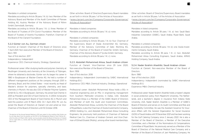#### Mandates in unlisted companies:

Mandates according to Article 38 para. 1 lit. b): two: Member of the Advisory Board and Member of the Audit Committee of Plansee Holding AG, Austria; Member of the Advisory Board of Röhm GmbH, Darmstadt, Germany.

Mandates according to Article 38 para. 1 lit. c): three: Member of the Board of Trustees of ETH Zurich Foundation; Member of the Board of Trustees of Aventis Foundation, Frankfurt; Chairman of the Board of the Clariant Foundation.

#### 5.2.2 Günter von Au, German citizen

Function at Clariant: Chairman of the Board of Directors since 7 April 2021; Non-executive Member of the Board of Directors Born: 1951

Year of first election: 2011 1

Independency: Independent

Experience: CEO; Chemical Industry; Strategy; Operational

Professional career: After studying textile and polymer chemistry at Reutlingen University and chemistry at the University of Tübingen, where he obtained a doctorate, Günter von Au began his career in 1980 in Burghausen at Wacker-Chemie AG. He held a number of different management positions at the company through 2001 in Germany, Brazil, and the United States – most recently as Head of Wacker's division for polymers, specialty chemistry, and basic chemistry in Munich. He was also CEO of Wacker Polymer Systems GmbH & Co. KG in Burghausen, Germany. He joined Süd-Chemie in 2001 as President and CEO of Süd-Chemie Inc. In 2004, he became CEO of the Management Board of Süd-Chemie AG in Munich and held this position until 31 March 2012. On 1 April 2012, Mr. von Au joined the Board of Directors at Clariant Ltd and acted as Vice-Chairman of the Board of Directors until 16 October 2018.

Other activities: Board of Directors/Supervisory Board mandates as set forth in Article 38 para. 1 of the Articles of Association [\(www.clariant.com/en/Company/Corporate-Governance/](http://www.clariant.com/en/Company/Corporate-Governance/Articles-of-Association) Articles-of-Association):

Mandates in listed companies: Mandates according to Article 38 para. 1 lit. a): none.

#### Mandates in unlisted companies:

Mandates according to Article 38 para. 1 lit. b): four: Chairman of the Supervisory Board of Stada Arzneimittel AG, Germany; Member of the Advisory Committee of Gebr. Röchling KG, Germany; Chairman of the Board of CeramTec GmbH, Germany; Chairman of the Advisory Board of Tyczka GmbH, Germany. Mandates according to Article 38 para. 1 lit. c): none.

#### 5.2.3. Abdullah Mohammed Alissa, Saudi Arabian citizen

Function at Clariant: Vice-Chairman since 29 June 2020, Non-executive Member of the Board of Directors Born: 1956 Year of first election: 2018 Independency: Independent (nominated by SABIC International Holdings B<sub>V</sub>) Experience: CEO; M&A; Chemical Industry; Strategy; Operational

Professional career: Abdullah Mohammed Alissa holds a BSc in industrial engineering and an MSc in engineering management from Southern Methodist University in Dallas, USA. Abdullah Mohammed Alissa is a Member of the SABIC Board of Directors and Member of both the Audit and Investment Committees. Abdullah Mohammed Alissa, currently the Chairman of the Board of Riyad Bank, is also the Chairman of Assila Investments Company, AMIAS Holding Co., and Abdullah Mohammed Alissa Consulting Engineers. He previously held positions of Chairman of National Medical Care Co., Chairman of Arabian Cement, and Vice-Chairman of Etihad Etisalat (Mobily), among other board memberships.

Other activities: Board of Directors/Supervisory Board mandates as set forth in Article 38 para. 1 of the Articles of Association [\(www.clariant.com/en/Company/Corporate-Governance/](http://www.clariant.com/en/Company/Corporate-Governance/Articles-of-Association) Articles-of-Association):

#### Mandates in listed companies:

Mandates according to Article 38 para. 1 lit. a): two: Saudi Basic Industries Corporation (SABIC), Saudi Arabia; Riyad Bank, Saudi Arabia.

#### Mandates in unlisted companies:

Mandates according to Article 38 para. 1 lit. b): one: Assila Investments Company, Saudi Arabia.

Mandates according to Article 38 para. 1 lit. c): two: Abdullah Mohammed Alissa Consulting Engineers, Saudi Arabia; AMIAS Holding Company, Saudi Arabia.

#### 5.2.4. Nader Ibrahim Alwehibi, Saudi Arabian citizen

Function at Clariant: Non-executive Member of the Board of **Directors** Born: 1980 Year of first election: 2020

Independency: Independent (nominated by SABIC International Holdings B.V.)

Experience: M&A; Chemical Industry

Professional career: Nader Ibrahim Alwehibi holds a master's degree in social protection policy from Maastricht University, The Netherlands, and a bachelor's degree in insurance from Indiana State University, USA. Nader Ibrahim Alwehibi is a Member of SABIC's Board of Directors and serves on its Audit Committee and Risk and Sustainability Committee. He was the Assistant Governor for Insurance Affairs with the General Organization for Social Insurance (GOSI) of Saudi Arabia until 31 December 2021 and has been working for the Gulf Catering Company since 2 January 2022. He is also a Member of the Board of Directors, a Member of the Executive Committee, and a Member of the Nominations & Compensations Committee of Riyad Bank. He previously served as a Member of the Board of Directors of the National Medical Care Company and a Member of the Board of Directors of Jarir Marketing Company. He

<sup>&</sup>lt;sup>1</sup> The election at the Annual General Meeting in 2011 was subject to the condition that Günter von Au will step down from his position as the CEO of the Management Board of Süd-Chemie AG – which he did on 31 March 2012. Günter von Au actually joined the Board of Directors of Clariant Ltd on 1 April 2012, i.e., shortly after the 2012 Clariant Annual General Meeting took place on 27 March 2012.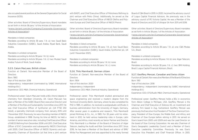also occupied several positions at the General Organization for Social Insurance (GOSI).

Other activities: Board of Directors/Supervisory Board mandates as set forth in Article 38 para. 1 of the Articles of Association [\(www.clariant.com/en/Company/Corporate-Governance/](http://www.clariant.com/en/Company/Corporate-Governance/Articles-of-Association) Articles-of-Association):

#### Mandates in listed companies:

Mandates according to Article 38 para. 1 lit. a): two: Saudi Basic Industries Corporation (SABIC), Saudi Arabia; Riyad Bank, Saudi Arabia.

#### Mandates in unlisted companies:

Mandates according to Article 38 para. 1 lit. b): none. Mandates according to Article 38 para. 1 lit. c): two: Mudad, Saudi Arabia; Future of Work, Saudi Arabia.

#### 5.2.5. Calum MacLean, British citizen

Function at Clariant: Non-executive Member of the Board of **Directors** Born: 1963 Year of first election: 2018 Independency: Independent (nominated by SABIC International Holdings B.V.) Experience: CEO; M&A; Chemical Industry; Operational

Professional career: Calum MacLean holds a BSc (Hons) degree in chemistry from Aberdeen University, UK. Calum MacLean has been a Member of the SABIC Board (Non-executive Director) and a Member of the Risk and Sustainability Committee since 2017. He was Chief Executive Officer of Synthomer plc (UK FTSE 250 listed), a speciality chemicals company, from January 2015 until 1 November 2021. Previously, he was a founding member of INEOS Group, established in 1998. During his time at INEOS, he held a number of senior executive roles, including Chief Executive Officer of INEOS Refining from December 2006 until 2011, Chief Executive Officer of EVC Corporation and subsequently INEOS ChlorVinyls until 2005, Chief Executive Officer of INEOS Styrenics and subsequently Chairman of Styrolution (at that time a joint venture with BASF), and Chief Executive Officer of PetroIneos Refining (a joint venture with Petro China). Additionally, he served as the Chairman and Chief Executive Officer of INEOS Olefins and Polymers Europe and Chief Executive Officer of INEOS Phenol.

Other activities: Board of Directors/Supervisory Board mandates as set forth in Article 38 para. 1 of the Articles of Association [\(www.clariant.com/en/Company/Corporate-Governance/](http://www.clariant.com/en/Company/Corporate-Governance/Articles-of-Association) Articles-of-Association):

#### Mandates in listed companies:

Mandates according to Article 38 para. 1 lit. a): two: Saudi Basic Industries Corporation (SABIC), Saudi Arabia; Synthomer plc, UK (until 1 November 2021).

#### Mandates in unlisted companies:

Mandates according to Article 38 para. 1 lit. b): none. Mandates according to Article 38 para. 1 lit. c): none.

#### 5.2.6. Thilo Mannhardt, German citizen

Function at Clariant: Non-executive Member of the Board of **Directors** Born: 1954 Year of first election: 2020 Independency: Independent Experience: CEO; M&A; Chemical Industry; Operational

Professional career: Thilo Mannhardt studied aeronautical and space engineering and received a master's degree from the Technical University Berlin, Germany, where he also completed his PhD in 1985. In addition, he received a postgraduate certificate in business administration from the University of Hagen, Germany. After several years in academia and research, Thilo Mannhardt joined McKinsey & Co., Inc., in 1985. For 28 years until his retirement in 2012, he held various leadership roles in Europe, Latin America, and Africa, most recently as Senior Partner and Director. Thilo Mannhardt is a Member of the Board of Directors of Algar Telecom, leading the Audit and Risk Committee since 2017. Since 2018, he has been a Member of the Board and advisor of BMI/ White Fox Management and was appointed to the newly formed

Board of C&A Brazil in 2019. In 2020, he joined the advisory council of Logus Capital Financial Advisors. He previously was in the advisory council of PE Victoria Capital. He was a Member of the Board of Directors and CEO of Ultrapar SA from 2011 until 2018.

Other activities: Board of Directors/Supervisory Board mandates as set forth in Article 38 para. 1 of the Articles of Association [\(www.clariant.com/en/Company/Corporate-Governance/](http://www.clariant.com/en/Company/Corporate-Governance/Articles-of-Association) Articles-of-Association):

#### Mandates in listed companies:

Mandates according to Article 38 para. 1 lit. a): one: C&A Modas S.A., Brazil.

#### Mandates in unlisted companies:

Mandates according to Article 38 para. 1 lit. b): one: Algar Telecom, Brazil.

Mandates according to Article 38 para. 1 lit. c): two: BMI Holding, Brazil; Logus Capital Financial Advisors, Brazil.

#### 5.2.7. Geoffery Merszei, Canadian and Swiss citizen

Function at Clariant: Non-executive Member of the Board of Directors Born: 1951 Year of first election: 2018 Independency: Independent (nominated by SABIC International Holdings B.V.)

Experience: CEO; CFO/Audit; M&A; Chemical Industry; Operational

Professional career: Geoffery Merszei holds a BSc in economics from Albion College in Michigan, USA. Geoffery Merszei is the Chairman and Chief Executive of Zolenza AG, an investment and advisory firm based in Zug, Switzerland. Geoffery Merszei was previously the Executive Vice President of The Dow Chemical Company, President of Dow Europe, the Middle East, and Africa, and Chairman of Dow Europe before retiring in 2013. He served on Dow's board from 2005 until 2009 and was the Lead Director on the board of Dow Corning Corporation. He was also Chairman of Dow's Geographic Leadership Council and a Member of Dow's Executive Leadership Committee. Previously, he was Dow's Executive Vice President and Chief Financial Officer. In 2001,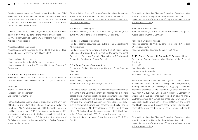Geoffery Merszei served as Executive Vice President and Chief Financial Officer of Alcan Inc. He has also served as a Member of the Board of the Chemical Financial Corporation and as a trustee and Member of the Executive Committee of the United States Council for International Business.

Other activities: Board of Directors/Supervisory Board mandates as set forth in Article 38 para. 1 of the Articles of Association [\(www.clariant.com/en/Company/Corporate-Governance/](http://www.clariant.com/en/Company/Corporate-Governance/Articles-of-Association) Articles-of-Association):

#### Mandates in listed companies:

Mandates according to Article 38 para. 1 lit. a): one: OC Oerlikon Corporation AG, Switzerland (until 13 April 2021).

#### Mandates in unlisted companies:

Mandates according to Article 38 para. 1 lit. b): none. Mandates according to Article 38 para. 1 lit. c): one: Zolenza AG, **Switzerland** 

#### 5.2.8. Eveline Saupper, Swiss citizen

Function at Clariant: Non-executive Member of the Board of Directors; independent Lead Director from 24 July 2019 until 7 April 2021 Born: 1958 Year of first election: 2016 Independency: Independent Experience: M&A; Strategy

Professional career: Eveline Saupper studied law at the University of St. Gallen, Switzerland (HSG). She was a partner at the law firm Homburger AG, Zurich, Switzerland, until 2014 and Of Counsel of said law firm until March 2017. Before joining Homburger in 1985, she worked as a tax specialist with Peat Marwick Mitchell (today KPMG) in Zurich. She holds a PhD in law from the University of St. Gallen and passed her bar exams in Zurich. Eveline Saupper is also a certified tax expert.

Other activities: Board of Directors/Supervisory Board mandates as set forth in Article 38 para. 1 of the Articles of Association [\(www.clariant.com/en/Company/Corporate-Governance/](http://www.clariant.com/en/Company/Corporate-Governance/Articles-of-Association) Articles-of-Association):

#### Mandates in listed companies:

Mandates according to Article 38 para. 1 lit. a): two: Flughafen Zürich AG, Switzerland; Georg Fischer AG, Switzerland.

#### Mandates in unlisted companies:

Mandates according to Article 38 para. 1 lit. b): one: Stäubli Holding AG, Switzerland.

Mandates according to Article 38 para. 1 lit. c): four: Mentex Holding AG, Switzerland; UZH Foundation [University of Zurich], Switzerland; Tourismus Savognin Bivio Albula AG, Switzerland; Foundation Piz Mitgel Val Surses, Switzerland.

#### 5.2.9. Peter Steiner, German citizen

Function at Clariant: Non-executive Member of the Board of **Directors** Born: 1959 Year of first election: 2016 Independency: Independent Experience: CEO; CFO/Audit; M&A; Operational

Professional career: Peter Steiner studied business administration in Mannheim and Cologne, Germany, and finished with a master's degree. He is a German certified public accountant, tax advisor, and business consultant with a focus on mergers and acquisitions, financing, and investment management. Peter Steiner was previously a partner of the investment company One Equity Partners LLC and worked for MG Technologies AG as its Chief Financial Officer. At Dyckerhoff AG, he was successively CFO, Chief Operating Officer, and finally CEO. Following his many years as an auditor with Arthur Andersen & Co., he was also CFO of Süba Bau AG.

Other activities: Board of Directors/Supervisory Board mandates as set forth in Article 38 para. 1 of the Articles of Association [\(www.clariant.com/en/Company/Corporate-Governance/](http://www.clariant.com/en/Company/Corporate-Governance/Articles-of-Association) Articles-of-Association):

Mandates in listed companies: Mandates according to Article 38 para. 1 lit. a): two: Wienerberger AG, Austria; Zeal Network SE, Germany.

#### Mandates in unlisted companies:

Mandates according to Article 38 para. 1 lit. b): one: RKW Holding SARL, Luxembourg. Mandates according to Article 38 para. 1 lit. c): none.

#### 5.2.10. Claudia Suessmuth Dyckerhoff, German citizen

Function at Clariant: Non-executive Member of the Board of **Directors** Born: 1967 Year of first election: 2016 Independency: Independent Experience: Strategy; Operational; Innovation

Professional career: Claudia Suessmuth Dyckerhoff holds a PhD in business administration from the University of St. Gallen/University of Michigan Ann Arbor, USA, focusing on strategy, organization, and operational excellence. Claudia Suessmuth Dyckerhoff also holds an MBA from CEMS/ESADE. She joined McKinsey & Company in Switzerland in 1995 and since then focused on advising mainly healthcare companies in Europe, the United States, Greater China, and across Asia. She was a Senior Partner at McKinsey and led the Asia Health Services and Systems sector within McKinsey until March 2016, when she became a Senior External Advisor to McKinsey.

Other activities: Board of Directors/Supervisory Board mandates as set forth in Article 38 para. 1 of the Articles of Association [\(www.clariant.com/en/Company/Corporate-Governance/](http://www.clariant.com/en/Company/Corporate-Governance/Articles-of-Association) Articles-of-Association):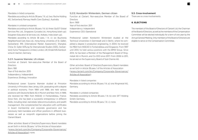#### <span id="page-8-0"></span>Mandates in listed companies:

Mandates according to Article 38 para. 1 lit. a): two: Roche Holding AG, Switzerland; Ramsay Health Care (Sydney), Australia.

#### Mandates in unlisted companies:

Mandates according to Article 38 para. 1 lit. b): three: QuEST Global Services Pte. Ltd., Singapore; Cyrcadia Ltd., Hong Kong (start-up); Edugreen Education & Services Ltd., Kolkata, India (start-up). Mandates according to Article 38 para. 1 lit. c): six: Buurtzorg Neighborhood Care Asia Ltd., Hong Kong; University of St. Gallen, Switzerland: IMA [International Market Assessment], Shanghai, China; St. Galler Stiftung für Internationale Studien (SSIS), Switzerland; Huma Therapeutics Limited, London, UK; Kinderhilfe Kambodscha eV Aachen, Germany.

#### 5.2.11. Susanne Wamsler, US citizen

Function at Clariant: Non-executive Member of the Board of **Directors** Born: 1961 Year of first election: 2015 Independency: Independent Experience: Strategy; Innovation

Professional career: Susanne Wamsler studied at Princeton University in Princeton, New Jersey, USA, graduating with a degree in political economy. From 1984 until 1988, she held various positions with Deutsche Bank AG in Munich and New York. In 1989, she received her MBA from INSEAD in Fontainebleau, France. Since then, she has been a successful entrepreneur in different fields, including retail, real estate, telecommunications, and wealth management. She complemented her education with certificates in board membership and corporate governance and has previously held mandates and officer positions in different businesses as well as nonprofit organizations before joining the Clariant Board.

Other activities: Board of Directors/Supervisory Board mandates as set forth in Article 38 para. 1 of the Articles of Association [\(www.clariant.com/en/Company/Corporate-Governance/](http://www.clariant.com/en/Company/Corporate-Governance/Articles-of-Association) Articles-of-Association): none.

#### 5.2.12. Konstantin Winterstein, German citizen

Function at Clariant: Non-executive Member of the Board of **Directors** Born: 1969 Year of first election: 2011 Independency: Independent Experience: CEO; Operational

Professional career: Konstantin Winterstein studied at the Technical Universities in Darmstadt and in Berlin, where he completed a degree in production engineering. In 2004, he received his MBA from INSEAD in Fontainebleau and Singapore. From 1997 until 2014, he held various positions with the BMW Group. Since 2014, he has been a Member of the Management Board of Ringmetall AG in Munich, and Co-CEO since 2017. From 2006 to 2011 he served on the Supervisory Board of Süd-Chemie AG.

Other activities: Board of Directors/Supervisory Board mandates as set forth in Article 38 para. 1 of the Articles of Association [\(www.clariant.com/en/Company/Corporate-Governance/](http://www.clariant.com/en/Company/Corporate-Governance/Articles-of-Association) Articles-of-Association):

Mandates in listed companies:

Mandates according to Article 38 para. 1 lit. a): one: Ringmetall AG, Germany.

Mandates in unlisted companies:

Mandates according to Article 38 para. 1 lit. b): one: GFT Holding GmbH, Germany.

Mandates according to Article 38 para. 1 lit. c): none.

#### 5.3. Cross-involvement

There are no cross-involvements.

#### **6. ELECTIONS**

The members of the Board of Directors of Clariant Ltd, the Chairman of the Board of Directors, as well as the members of the Compensation Committee will be elected individually for a term of one year by the Annual General Meeting. Only members of the Board of Directors are eligible to serve on the Compensation Committee.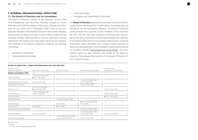#### <span id="page-9-0"></span>**7. INTERNAL ORGANIZATIONAL STRUCTURE** 7.1. The Board of Directors and its committees

The Board of Directors consists of the Chairman, one or more Vice-Chairpersons, and the other members. Except for Hariolf Kottmann, who held the position of Executive Chairman ad interim from 24 July 2019 until 31 December 2020, none of the nonexecutive members of the Board of Directors held a senior management position at Clariant Ltd or any current or former Clariant Group company between 2019 and 2021 or has any significant business relationship with Clariant Ltd or any other Clariant Group company. The members of the Board of Directors constitute the following committees:

- Nomination Committee
- Compensation Committee
- Audit Committee
- Innovation and Sustainability Committee

The **Board of Directors** appoints the members of the committees. except for the members of the Compensation Committee, who are elected by the Annual General Meeting. The Board of Directors meets at least once a quarter. At the invitation of the Chairman, the CEO, the CFO, and other members of the Executive Committee and/or other employees and third parties attend the meetings of the Board of Directors for the purpose of reporting or imparting information. Each committee has a written charter outlining its duties and responsibilities. The committees' charters are published on Clariant's website (www.clariant.com/committees). The committees report on their activities and results to the Board of Directors. They prepare the business of the Board of Directors in their respective areas.

| Member of the<br><b>Board of Directors</b> | Nomination Committee                                    |   | Audit Committee                                    |   | Compensation Committee                             |                | Innovation and<br>Sustainability Committee |    |
|--------------------------------------------|---------------------------------------------------------|---|----------------------------------------------------|---|----------------------------------------------------|----------------|--------------------------------------------|----|
| Number of meetings in 2021                 | 6                                                       |   | 6                                                  |   | $\overline{A}$                                     | $*$            | 5                                          |    |
| Hariolf Kottmann                           | from 16 October 2018<br>until 7 April 2021              |   |                                                    |   |                                                    |                |                                            |    |
| Abdullah Mohammed Alissa                   | since 7 April 2021                                      | 6 |                                                    |   | from 16 October 2018<br>until 7 April 2021         |                |                                            |    |
| Nader Ibrahim Alwehibi                     |                                                         |   |                                                    |   | since 7 April 2021                                 | $\overline{4}$ |                                            |    |
| Günter von Au                              | $\blacksquare$ since 29 June 2020<br>since 7 April 2021 | 5 |                                                    |   |                                                    |                | since 7 April 2021                         | 5  |
| Calum MacLean                              | from 16 October 2018<br>until 7 April 2021              |   |                                                    |   |                                                    |                | since 7 April 2021                         | 5  |
| Thilo Mannhardt                            |                                                         |   |                                                    |   |                                                    |                | since 7 April 2021                         | 5. |
| Geoffery Merszei                           |                                                         |   | since 16 October 2018                              | 6 |                                                    |                |                                            |    |
| Eveline Saupper                            |                                                         |   | $\blacksquare$ since 2016                          | 6 | since 16 October 2018<br>$\blacksquare$ since 2016 | 4              |                                            |    |
| Peter Steiner                              | ■ since 2016                                            |   | $\blacksquare$ since 2016                          | 6 |                                                    |                |                                            |    |
| Claudia Suessmuth Dyckerhoff               |                                                         |   |                                                    |   | since 16 October 2018                              | $\overline{4}$ |                                            |    |
| Susanne Wamsler                            | since 7 April 2021                                      | 5 |                                                    |   | from 16 October 2018<br>until 7 April 2021         |                | since 7 April 2021                         | 5  |
| Konstantin Winterstein                     |                                                         |   | from 2012 until April 2016<br>and since March 2017 | 6 | since 7 April 2021                                 | 3              |                                            |    |

#### **BOARD OF DIRECTORS – COMMITTEE RESPONSIBILITIES AND MEETINGS**

Chairperson

Member

\* Number of meetings attended in 2021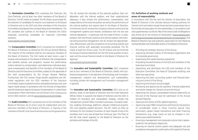# The Nomination Committee (NC) comprises the Chairman, the Vice-Chairman, and at least two other members of the Board of Directors. The NC meets as needed. The NC draws up principles for the selection of candidates for election and reelection to the Board of Directors and to the CEO and other members of the Executive Committee and prepares the corresponding recommendations. The NC considers and submits to the Board of Directors the CEO's proposals concerning candidates for Executive Committee positions.

#### www.clariant.com/committees

The **Compensation Committee** (CoC) comprises five members of the Board of Directors as elected by the Annual General Meeting. The majority of the members shall be non-executive members of the Board of Directors. The CoC meets at least twice a year. It reviews and proposes to the Board of Directors the compensation and benefits policies and programs, reviews the performance criteria relevant to compensation, and determines individual executive compensation and benefits of the members of the Board of Directors and the Executive Committee, subject to the approvals of the total compensations by the Annual General Meeting. Furthermore, the CoC reviews fringe benefit regulations and dismissal regulations with the CEO, members of the Executive Committee, heads of global functions and global business units, and region heads always in accordance with the Articles of Association and the Ordinance against Excessive Compensation in Listed Stock Corporations. More information can be found in th[e COMPENSATION](https://reports.clariant.com/short/2021/en/Readmore27en)  [REPORT 2021, section 1, a](https://reports.clariant.com/short/2021/en/Readmore27en)nd at www.clariant.com/committees.

The **Audit Committee** (AC) comprises two to five members of the Board of Directors, all of whom must be independent and nonexecutive members of the Board of Directors. A majority of the members of the AC must have financial and accounting experience.

The AC reviews the activities of the external auditors, their collaboration with the internal auditors, and their organizational adequacy. It also reviews the performance, compensation, and independence of the external auditors as well as the performance of the internal auditors and reports back to the Board of Directors. Furthermore, the AC reviews the company's internal control and risk management systems and reviews compliance with the law and internal regulations – in particular with the Code of Ethics. In collaboration with the Group's external and internal auditors and financial and accounting management, the AC reviews the appropriateness, effectiveness, and the compliance of accounting policies and financial controls with applicable accounting standards. The AC meets at least four times a year. The AC reviews and recommends the Group's financial statements for the first three quarters of each year and the annual financial results to the Board of Directors for approval.

#### www.clariant.com/committees

The Innovation and Sustainability Committee (ISC) comprises two to four members of the Board of Directors, ideally with professional experience in the domains of technology and innovation management, research and development, and sustainability, including climate risk management and innovation management in general.

The **Innovation and Sustainability Committee** (ISC) acts as an advisory body to the Board of Directors and the Chief Executive Officer (CEO). It supports the Board of Directors and the CEO in matters of innovation and sustainability strategy, climate risk management, growth fields, innovation processes, innovation pipeline, enabling technology platforms, relevant intellectual property (IP), and capability-related decisions. The ISC meets as often as necessary for the company's business, or upon request of any of its members, but in any case at least four times per year. The Chair of the ISC shall report regularly to the Board of Directors on the activities and findings of the ISC.

# 7.2. Definition of working methods and areas of responsibility

In accordance with the law and the Articles of Association, the Board of Directors is the ultimate decision-making authority for Clariant Ltd in all matters except those decisions reserved by law or the Articles of Association for the shareholders. In accordance with and supplementary to Article 716a of the Swiss Code of Obligations and Article 22 of the Articles of Association (www.clariant.com/ [en/Company/Corporate-Governance/Articles-of-Association\), the](http://www.clariant.com/en/Company/Corporate-Governance/Articles-of-Association)  Board of Directors has sole authority, particularly for the following nontransferable and inalienable duties of the Board of Directors:

- Providing the strategic direction of the Group;
- Approving the basic outline of the Group's organization and its corporate governance;
- Supervising the overall business operations;
- Evaluating the performance of the CEO and members of the Executive Committee;
- Appointing and dismissing the CEO and members of the Executive Committee, the head of Corporate Auditing, and other key executives;
- Approving the basic accounting system and financial planning and control of the Group;
- Approving the Group's annual budget;
- Reviewing and approving the quarterly financial statements and results release for Clariant Ltd and the Group;
- Approving the Group's consolidated financial statements at the end of the financial year for submission to the Annual General Meeting;
- Approval and review of ESG-related reporting;
- Approving major M&A transactions and financial transactions of considerable scope or those involving special risks, particularly capital market transactions and other financing transactions (e.g., large loans) as well as changes in conditions associated therewith;
- Ensuring a management and corporate culture that is appropriate for the company's objectives;
- Ensuring an internal control system and adequate risk and compliance management, particularly with regard to financial,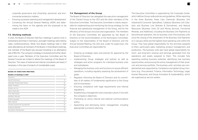corporate governance and citizenship, personnel, and environmental protection matters;

- Ensuring succession planning and management development;
- Convening the Annual General Meeting (AGM) and determining the items on the agenda and the proposals to be made to the AGM.

#### 7.3. Working methods

In 2021, the Board of Directors held four meetings in person (one in Switzerland and three in Germany), and eight meetings were held by video conference/phone. While nine Board meetings held in 2021 were attended by all members of the Board, in three Board meetings, one member of the Board was excused (resulting in an attendance rate of 89.4 %). The company's strategy is reviewed and further developed once a year. Members of the Executive Committee and the General Counsel are invited to attend the meetings of the Board of Directors. The views of external and internal consultants are heard, if necessary, in the case of projects of considerable scope.

#### **BOARD OF DIRECTORS MEETINGS**

| Number of meetings in 2021   | 12 |
|------------------------------|----|
| Directors                    |    |
| Hariolf Kottmann             | 3  |
| Abdullah Mohammed Alissa     | 12 |
| Nader Alwehibi               | 12 |
| Günter von Au                | 12 |
| Calum MacLean                | 11 |
| Thilo Mannhardt              | 12 |
| Geoffery Merszei             | 12 |
| Eveline Saupper              | 11 |
| Peter Steiner                | 12 |
| Claudia Suessmuth Dyckerhoff | 12 |
| Susanne Wamsler              | 12 |
| Konstantin Winterstein       | 11 |

#### 7.4. Management of the Group

The Board of Directors has delegated the executive management of the Clariant Group to the CEO and the other members of the Executive Committee. The Executive Committee is mainly responsible for implementing and monitoring the Group strategy, for the financial and operational management of the Group, and for the efficiency of the Group's structure and organization. The members of the Executive Committee are appointed by the Board of Directors on the recommendation of the Nomination Committee. Subject to the responsibility of the Board of Directors and the Annual General Meeting, the CEO and, under his supervision, the Executive Committee are responsible for:

- Drawing up strategic plans and policies for approval by the Board of Directors;
- Implementing Group strategies and policies as well as strategies and action programs for individual business units and subsidiaries;
- Managing the business units and functions to ensure efficient operations, including regularly assessing the achievement of goals;
- Regularly informing the Board of Directors and its committees of all matters of fundamental significance to the Group and its businesses;
- Ensuring compliance with legal requirements and internal regulations;
- Establishing a management and corporate culture in line with the company's objectives;
- Promoting an active internal and external communications policy;
- Appointing and dismissing senior management, including appropriate succession planning.

The Executive Committee is supported by the Corporate Center, which defines Group-wide policies and guidelines. While reporting in the three Business Areas Care Chemicals (Business Unit Industrial & Consumer Specialties), Catalysis (Business Unit Catalysts and Business Line Biofuels & Derivatives), and Natural Resources (Business Units Oil and Mining Services, Functional Minerals, and Additives), including the Business Unit Pigments as discontinued operation, the six business units (five business units since the closing of the divestment of the Business Unit Pigments on 3 January 2022) are the highest-level operating units within the Group. They have global responsibility for the activities assigned to them, particularly sales, marketing, product management, and production. The business units also have global responsibility for short- and long-term revenue and earnings generated from the operations and assets assigned to them. This includes fully exploiting existing business potential, identifying new business opportunities, and pursuing the active management of their products and services portfolio. The business units' activities are complemented and supported by Compliance and global Group functions (e.g., Procurement, Finance, Information Technology, Legal, Human Resources, and Group Innovation & Sustainability), which are organized as service centers.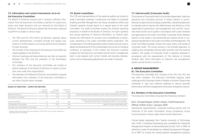# <span id="page-12-0"></span>7.5. Information and control instruments vis-à-vis the Executive Committee

The Board of Directors ensures that it receives sufficient information from the Executive Committee to perform its supervisory duties and make decisions that are reserved for the Board of Directors. The Board of Directors obtains the information required to perform its duties in various ways:

- The CEO and the CFO inform all directors regularly about current developments, including through the regular submission of written reports, such as key performance indicators for each business;
- The minutes of the meetings of the Executive Committee are made available to the directors;
- Informal meetings and teleconferences are held, as required, between the CEO and the members of the Nomination Committee;
- The members of the Executive Committee are invited to attend meetings of the Board of Directors to report on business units under their responsibility;
- The members of the Board of Directors are entitled to request information from members of the Executive Committee or any other Clariant senior manager.

#### **BOARD OF DIRECTORS – COMMITTEE MEETINGS**

|                                         | Number<br>of meetings | Average<br>duration in h | CEO/CFO<br>invited | Other attendees                                                                                                            |
|-----------------------------------------|-----------------------|--------------------------|--------------------|----------------------------------------------------------------------------------------------------------------------------|
| Board of Directors                      |                       | $3 - 7$                  | ves                | Executive Committee: General Counsel: Chief Human Resources Officer                                                        |
| Nomination Committee                    | 6                     | $2 - 4$                  | yes                |                                                                                                                            |
| Audit Committee                         |                       | $3 - 4$                  | yes                | Auditors; Head Corporate Auditing; Head Corporate Accounting;<br>General Counsel; Group Compliance Officer in two meetings |
| <b>Compensation Committee</b>           | 4                     | $1.5 - 2$                | ves                | Head of Group Human Resources                                                                                              |
| Innovation and Sustainability Committee |                       |                          | yes                |                                                                                                                            |

<sup>1</sup> Except when discussing the remuneration of the CEO or any other member of the Executive Committee

#### 7.6. Board committees

The CFO and representatives of the external auditor are invited to Audit Committee meetings. Furthermore, the heads of Corporate Auditing and Risk Management, the Group compliance officer, and Clariant's general counsel report on a regular basis to the Audit Committee. The Audit Committee reviews the financial reporting processes on behalf of the Board of Directors. For each quarterly and annual reporting of financial information, an internal team reviews the information for accuracy and completeness of disclosures, reporting to the Audit Committee before publication. The Compensation Committee generally meets at least twice per year to adjust the development of the compensation structures to changing conditions, as necessary. In this context, the long-term incentive program for the Executive Committee and the senior management team is also aligned with current market and business developments, and corresponding adjustments are made, if required.

#### 7.7. Internal audit (Corporate Audit)

The purpose of Corporate Audit is to provide independent, objective assurance and consulting services. It assists Clariant in accomplishing its objectives by bringing a systematic, disciplined approach to evaluate and to improve the effectiveness and efficiency of the organization's governance, risk management, and controls. Corporate Audit carries out its audits in accordance with a plan reviewed and approved by the Audit Committee. Corporate Audit prepares reports on the audits it has performed and reports actual or suspected irregularities to the Audit Committee and Management. The Audit Committee regularly reviews the scope, plans, and results of Corporate Audit. The Group pursues a risk-oriented approach to auditing and coordinates internal audit activities with the external auditors. The quality of Corporate Audit is regularly assessed in accordance with the requirements of The Institute of Internal Auditors (IIA). More information on Clariant's risk management system can be found i[n CHAPTER 14.](#page-16-0)

#### **8. GROUP MANAGEMENT**

#### 8.1. The Executive Committee

The Executive Committee (EC) consists of the CEO, the CFO, and two other members. The Executive Committee regularly holds meetings at the Corporate Center in Pratteln or at other Clariant sites worldwide. It uses such external meetings to discuss business performance with the management of the local companies in person.

#### 8.2. Members of the Executive Committee

The Executive Committee comprised the following members:

# 8.2.1. Conrad Keijzer, Dutch citizen, Chief Executive Officer (CEO) since 1 January 2021

Operational responsibilities: Corporate Auditing (jointly with the Chairman of the Audit Committee); Group Compliance; Group Communications; Group Legal; Group Human Resources.

Conrad Keijzer graduated from Twente University of Technology with a MSc in Industrial Engineering and completed the Advanced Management Program at Harvard Business School, USA. In 1994, he started his career at AkzoNobel as a Market Development Manager. As of 1997, he moved into several general management positions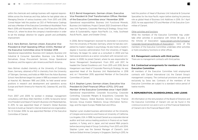<span id="page-13-0"></span>within the chemicals and coatings business with regional responsibilities across the Americas and Asia, before he had global roles as Managing Director of various business units. From 2013 until 2018, Conrad Keijzer held the position as CEO of Performance Coatings and was a Member of the Executive Committee at AkzoNobel. From March 2018 until November 2019, he was Chief Executive Officer at Imerys S.A., where he drove the company's transformation in order to set the strategic direction for organic growth and profitability improvement.

# 8.2.2. Hans Bohnen, German citizen, Executive Vice President & Chief Operating Officer (COO), Member of the Executive Committee since 12 October 2018

Operational responsibilities: Business Unit Catalysts; Business Unit Industrial & Consumer Specialties; Business Line Biofuels & Derivatives; Group Procurement Services; Group Operational Excellence; and the regions Latin America and North America.

Hans Bohnen studied chemistry at the University of Duisburg-Essen, Germany, obtained a PhD in chemistry from the University of Tübingen, Germany, and holds an MBA from the Aston Business School. Hans Bohnen began his career in 1995 as a research chemist at Hoechst AG. Between 1995 and 2006, he held several senior positions in research and development and operations across Europe and North America for Hoechst AG, Celanese AG, and SGL Group.

From 2007 until 2009, he worked in strategic management consultancy with Booz Allen Hamilton. In 2010, he became Senior Vice President and Head of Clariant's Business Unit Masterbatches. In 2015, he was appointed Head of Clariant's Global Business Services to build up Clariant's internal shared service organization. On 12 October 2018, he was appointed Member of the Executive Committee of Clariant.

# 8.2.3. Bernd Hoegemann, German citizen, Executive Vice President & Chief Transformation Officer, Member of the Executive Committee since 1 November 2019 Operational responsibilities: Business Unit Functional Minerals; Business Unit Additives; Project Clariant 2021; Divestment of Business Unit Pigments; Corporate Planning & Strategy; Group Innovation & Sustainability; region Asia-Pacific (i.e., India, Southeast Asia & Pacific, Japan, and Greater China).

In 2006, Bernd Hoegemann received his doctorate in economics from the University of Munster, Germany, where he had also completed his master's degree in psychology. He also holds a master's degree in business administration from the University of Hagen, Germany. He began his career as a consultant in 2000 and has held several positions as a senior consultant with renowned companies. In 2008, he joined Clariant, where he was responsible for Senior Management Development. From 2012 until 2017, he headed the Clariant Excellence unit. From 2015 until 2018, Bernd Hoegemann was Head of Corporate Planning & Strategy. He was appointed Head of the Business Unit Masterbatches in 2018 and, on 1 November 2019, appointed Member of the Executive Committee of Clariant.

# 8.2.4. Stephan Lynen, German citizen, Executive Vice President & Chief Financial Officer (CFO), CFO and Member of the Executive Committee since 1 April 2020 Operational responsibilities: Corporate Accounting; Corporate

Controlling; Corporate Mergers & Acquisitions; Corporate Tax; Corporate Treasury; Global Business Services; Group Finance Services; Group Investor Relations; Group Information Technology; and the region Europe, Middle East and Africa.

Stephan Lynen studied business administration at the University of Cologne and economics and finance at University of California, Los Angeles, USA. In 1998, he joined Clariant as a corporate internal auditor and took various leading positions in finance at our headquarters, in Turkey, and in Japan, and led several M&A projects before becoming Head of Group Controlling. From 2013 until 2014, Stephan Lynen was the General Manager of Clariant's Joint Venture Global Amines Company in Singapore. Starting in 2015, he

held the position of Head of Business Unit Industrial & Consumer Specialties for the Asia-Pacific region before starting his previous role as global Head of Business Unit Additives in 2016. On 1 April 2020, he was appointed CFO and Member of the Executive Committee of Clariant.

#### Other activities and functions

While the members of the Executive Committee may undertake other activities in accordance with Article 38 para. 2 of the Articles of Association (www.clariant.com/en/Company/ [Corporate-Governance/Articles-of-Association\), none of the](http://www.clariant.com/en/Company/Corporate-Governance/Articles-of-Association)  members of the Executive Committee undertake other activities or hold consultancy functions or other offices.

#### 8.3. Management contracts with third parties

There are no management contracts with third parties.

# 8.4. Contractual arrangements for members of the Executive Committee

All members of the Executive Committee hold employment contracts with Clariant International Ltd, the Clariant Group's management company. The contractual provisions are governed exclusively by Swiss law. Contracts of the members of the Executive Committee are subject to a standard notice period of twelve months.

#### **9. REMUNERATION, SHAREHOLDINGS, AND LOANS**

All information on the remuneration of the Board of Directors and the Executive Committee of Clariant Ltd can be found in the [COMPENSATION REPORT 2021 a](https://reports.clariant.com/short/2021/en/CompReporten)nd i[n NOTE 14 o](https://reports.clariant.com/short/2021/en/Readmore 64en)f the Financial Statements of Clariant Ltd in the Financial Report 2021.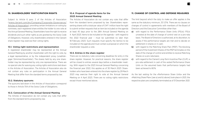#### <span id="page-14-0"></span>**10. SHAREHOLDERS' PARTICIPATION RIGHTS**

Subject to Article 6 para. 2 of the Articles of Association [\(www.clariant.com/en/Company/Corporate-Governance/](http://www.clariant.com/en/Company/Corporate-Governance/Articles-of-Association) Articles-of-Association), providing certain limitations on voting by nominees, each registered share entitles the holder to one vote at the Annual General Meeting. Shareholders have the right to receive dividends and such other rights as are granted by the Swiss Code of Obligations. However, only shareholders entered in the Clariant share register may exercise their voting rights.

#### 10.1. Voting right restrictions and representation

A registered shareholder may be represented at the Annual General Meeting by another shareholder with the right to vote, by a legal representative, or by the independent proxy (unabhängiger Stimmrechtsvertreter). The shares held by any one shareholder may be represented by only one representative. There are no special rules for waiving any voting rights restrictions laid down in the Articles of Association. The Articles of Association also do not contain any rules on participation in the Annual General Meeting that differ from the standard terms proposed by law.

#### 10.2. Statutory quorums

The quorums laid down in the Articles of Association correspond to those in Article 704 of the Swiss Code of Obligations.

#### 10.3. Convocation of the Annual General Meeting

The Articles of Association do not contain any rules that differ from the standard terms proposed by law.

# 10.4. Proposal of agenda items for the 2023 Annual General Meeting

The Articles of Association do not contain any rules that differ from the standard terms proposed by law. Shareholders representing shares with a total par value of CHF 1 million have the right to submit written requests that an item be included on the agenda at least 45 days prior to the 28th Annual General Meeting on 4 April 2023. Items to be included on the agenda – with regard to the 2022 financial year – must be submitted no later than 18 February 2023. Such requests must specify the item(s) to be included on the agenda and must contain a proposal on which the shareholder requests a vote.

#### 10.5. Entries in the share register

There are no statutory rules concerning deadlines for entry in the share register. However, for practical reasons, the share register will be closed to entries several days before a shareholder meeting. With regard to the 2023 Annual General Meeting concerning the financial year 2022, this applies as of 30 March 2023. Shareholders who have been entered into the share register by 29 March 2023 may exercise their right to vote at the Annual General Meeting on 4 April 2023. There are no voting rights restrictions except those mentioned above.

#### **11. CHANGE OF CONTROL AND DEFENSE MEASURES**

The limit beyond which the duty to make an offer applies is the same as the statutory minimum, 33 1/3 %. There are no clauses on changes of control in agreements with members of the Board of Directors and the Executive Committee other than

- a) with regard to the Performance Share Units (PSUs): PSUs unvested at the date of change of control vest on a pro-rata basis. The Board of Directors is authorized, at its discretion, to assess if the performance targets are met and to decide on settlement in shares or in cash;
- b) with regard to the Matching Share Plan (MSP): The blocking period of the Investment Shares of the MSP terminates on the date of the change of control and entitles to receive Matching Shares on a pro-rata basis;
- c) with regard to the Clariant Long-Term Incentive Plan (CLIP): a pro-rata settlement in cash of the vested Performance Share Units on the assumed basis that performance targets had been achieved to 80 %.

As the last vesting for the »Performance Share Units« and the »Matching Share Plan« [see a) and b) above] took place in 2021, the respective plans are completely terminated as of 31 December 2021.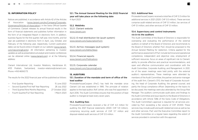#### <span id="page-15-0"></span>**12. INFORMATION POLICY**

Notices are published, in accordance with Article 42 of the Articles of Association (www.clariant.com/en/Company/Corporate-[Governance/Articles-of-Association\), in the Swiss Official Gazette](http://www.clariant.com/en/Company/Corporate-Governance/Articles-of-Association)  of Commerce. Clariant releases its annual financial results in the form of financial statements and publishes further information in the form of an Integrated Report in electronic form. In addition, business figures for the first quarter, half year, nine months, and full year are published in electronic form in April, July, October, and February of the following year, respectively. Current publication dates can be found online in English on our website (www.clariant. [com/UpcomingEvents\). All information pertaining to investor](http://www.clariant.com/UpcomingEvents)  updates as well as presentations at analyst and investor conferences can be obtained online (www.clariant.com) or at the following address:

Clariant International Ltd, Investor Relations, Hardstrasse 61, 4133 Pratteln, Switzerland, investor-relations@clariant.com, Phone +41 61 469 63 73.

The results for the 2022 financial year will be published as follows:

| $\overline{\phantom{m}}$ | First Quarter Reporting                  | 15 June 2022 |
|--------------------------|------------------------------------------|--------------|
| $\overline{\phantom{m}}$ | Second Quarter/First Half Year Reporting | 28 July 2022 |

- Third Quarter/Nine Months Reporting 27 October 2022
- Fourth Quarter/Full Year Reporting 1 March 2023

12.1. The Annual General Meeting for the 2022 financial year will take place on the following date 4 April 2023

12.2. Weblinks

12.2.1. Clariant website www.clariant.com

12.2.2. E-mail distribution list (push system) www.clariant.com/SubscriptionForm

12.2.3. Ad hoc messages (pull system) www.clariant.com/AdHocNews

12.2.4. Financial reports www.clariant.com/Publications

12.2.5. Corporate calendar www.clariant.com/UpcomingEvents

## **13. AUDITORS**

# 13.1. Duration of the mandate and term of office of the lead auditor

PricewaterhouseCoopers (PwC) has held the mandate since Clariant Ltd was established in 1995. The principle of rotation applies to the lead auditor, Rolf Johner, who was first appointed in April 2016. The Audit Committee ensures that the position of lead auditor is changed at least every seven years.

#### 13.2. Auditing fees

PricewaterhouseCoopers received a fee of CHF 4.2 million for auditing the 2021 financial statements (2020: CHF 5.9 million), comprising recurring audit services of CHF 3.7 million and disposal-related audit services of CHF 0.5 million.

#### 13.3. Additional fees

PricewaterhouseCoopers received a total fee of CHF 0.3 million for additional services in 2021 (2020: CHF 0.5 million). These services comprise audit-related services of CHF 0.1 million, tax services of CHF 0.1 million, and other services of CHF 0.1 million.

# 13.4. Supervisory and control instruments vis-à-vis the auditors

The Audit Committee of the Board of Directors is responsible for overseeing and evaluating the performance of the external auditors on behalf of the Board of Directors and recommends to the Board of Directors whether PwC should be proposed to the Annual General Meeting for reelection. Criteria applied for the performance assessment of PwC include technical and operational competence, independent and objective view, employment of sufficient resources, focus on areas of significant risk to Clariant, ability to provide effective and practical recommendations, and open and effective communication and coordination with the Audit Committee, Corporate Auditing, and Management. In 2021, six of the seven meetings were held jointly with the external auditor's representatives. These meetings were attended by members of the Audit Committee, the partner and senior manager of the audit firm, Clariant's CFO, the head of Corporate Accounting, the head of Corporate Auditing, the general counsel, and partly the Group compliance officer. Depending on the topics to be discussed, the meetings were also attended by the Group Risk Manager. The auditors communicate audit plans and findings to the Audit Committee and issue reports to the Board of Directors in accordance with Article 728b of the Swiss Code of Obligations. The Audit Committee's approval is required for all services provided by PwC exceeding a fee volume of CHF 25 000. These services may include audit and audit-related services as well as tax and other services. PwC and the Executive Committee report to the Audit Committee on a regular basis regarding the extent of services provided in connection with this approval.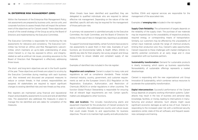#### <span id="page-16-0"></span>**14. ENTERPRISE RISK MANAGEMENT (ERM)**

Within the framework of the Enterprise Risk Management Policy, risk assessments are prepared by business units, service units, and corporate functions to assess threats that will impact the achievement of the objectives set for Clariant overall. These objectives are a result of the overall strategy of the Group as set by the Board of Directors and implemented by the Executive Committee.

The Executive Committee is responsible for monitoring the risk assessments for relevance and consistency. The Executive Committee has formed an »Ethics and Risk Management« subcommittee, which maintains an up-to-date understanding of areas where Clariant is, or may be, exposed to ethics- and integrityrelated as well as antitrust risk issues, providing assurance to the Board of Directors that Management is effectively addressing those issues.

The short- and long-term objectives are set in the fourth quarter of the year. These objectives and threats are subject to scrutiny by the Executive Committee during meetings with each business unit. Also reviewed and discussed are proposed measures to reduce or contain threats. In that context, responsibilities are assigned. All stakeholders are required to report significant changes to existing identified risks and new threats as they arise.

Risk registers are maintained using financial and reputational impact and probability assessments to score and rank all identified risks. The assessment also addresses the measures in place to manage the risk identified and sets dates for completion of the measures.

When threats have been identified and quantified, they are delegated to qualified individuals who are required to deliver effective risk management. Depending on the nature of the risk identified, specific skill sets may be required for the management of those particular risks.

A summary risk assessment is submitted annually to the Executive Committee, the Audit Committee, and the Board of Directors for review. In the case of new or changed risks, reporting is accelerated.

To support functional responsibility, certain functions have access to risk assessments to assist them in their roles. Examples of such functions are Environmental Safety & Health Affairs (ESHA) to identify key sites for their property risk survey program and Group Procurement to ensure reliable and compliant supply of raw materials.

Examples of identified risks included in the risk register:

Regulation and compliance: Clariant is subject to many rules and regulations as well as compliance standards. These include chemical industry, country, government, and customer requirements as well as the European Union's (EU) Regulation on the Registration, Evaluation, Authorization, and Restriction of Chemicals (REACH) or similar regulations in other countries. The function Global Product Stewardship is responsible for ensuring that all relevant legal requirements are met. Certain specific matters are delegated to other functions.

Sites and locations: This includes manufacturing plants and equipment important for the production of Clariant products for sale to customers. Also addressed are country and culture issues that could create threats to and opportunities for business objectives. The aim is to maintain high-quality and safe production facilities. ESHA and regional services are responsible for the management of the associated risks.

Examples of **emerging risks** included in the risk register:

Supply Chain Reliability: The achievement of targets depends on the reliability of the supply chain. The purchase of raw materials may be impaired due to the unavailability of respective products, required energy, or corresponding means of transportation. Similarly, our customers may be affected by the unavailability of certain input materials outside the range of chemical products, limiting their production and, thus, Clariant's sales opportunities. Clariant responds to these challenges with market intelligence to identify potential constraints at an early stage and in close cooperation with our business partners.

**Sustainability transformation:** Demand for sustainable products is clearly increasing, which opens up business opportunities. Nonavailability of sustainable offerings represents a market disadvantage.

Clariant is responding with the new organizational unit Group Innovation & Sustainability, which combines various resources to accelerate the sustainability transformation.

**Digital interconnection:** Successful performance of the Clariant Group depends on properly working information systems. Cyberattacks may result in the loss of business and personal data, knowledge, facilities, or money, leading to interruptions in manufacturing and product deliveries. Such attacks might cause significant economic damages as well as loss of trust. Clariant is responding to the increased cyber risk with a reinforced security operations center, state-of-the-art software, and frequent awareness campaigns and training.